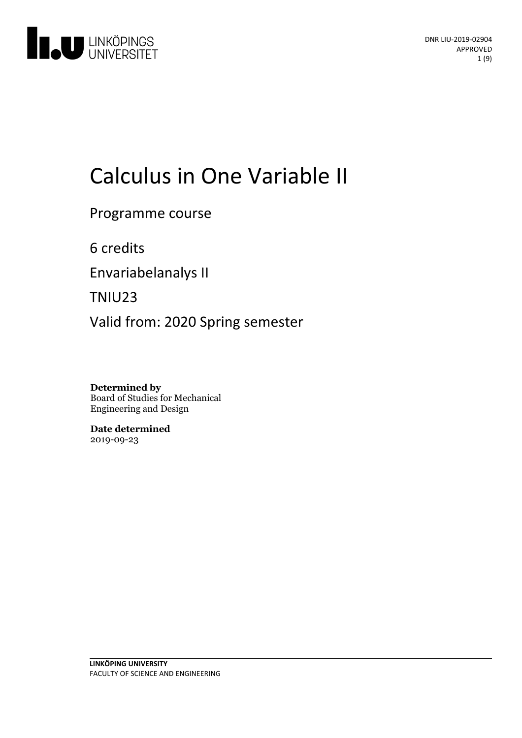

# Calculus in One Variable II

Programme course

6 credits

Envariabelanalys II

TNIU23

Valid from: 2020 Spring semester

**Determined by** Board of Studies for Mechanical Engineering and Design

**Date determined** 2019-09-23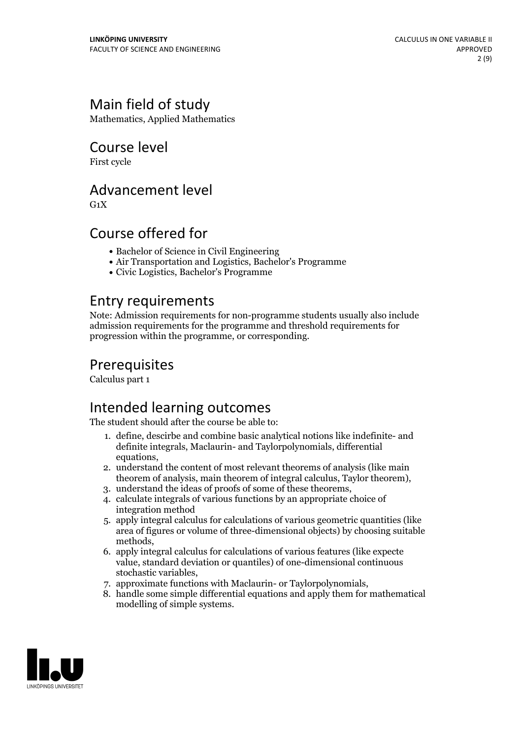# Main field of study

Mathematics, Applied Mathematics

Course level

First cycle

### Advancement level

 $G_1X$ 

### Course offered for

- Bachelor of Science in Civil Engineering
- Air Transportation and Logistics, Bachelor's Programme
- Civic Logistics, Bachelor's Programme

### Entry requirements

Note: Admission requirements for non-programme students usually also include admission requirements for the programme and threshold requirements for progression within the programme, or corresponding.

## **Prerequisites**

Calculus part 1

# Intended learning outcomes

The student should after the course be able to:

- 1. define, descirbe and combine basic analytical notions like indefinite- and definite integrals, Maclaurin- and Taylorpolynomials, differential
- 2. understand the content of most relevant theorems of analysis (like main theorem of analysis, main theorem of integral calculus, Taylor theorem), 3. understand the ideas of proofs of some of these theorems, 4. calculate integrals of various functions by an appropriate choice of
- 
- integration method
- 5. apply integral calculus for calculations of various geometric quantities (like area of figures or volume of three-dimensional objects) by choosing suitable methods,<br>6. apply integral calculus for calculations of various features (like expecte
- value, standard deviation or quantiles) of one-dimensional continuous
- 
- stochastic variables, 7. approximate functions with Maclaurin- or Taylorpolynomials, 8. handle some simple differential equations and apply them for mathematical modelling of simple systems.

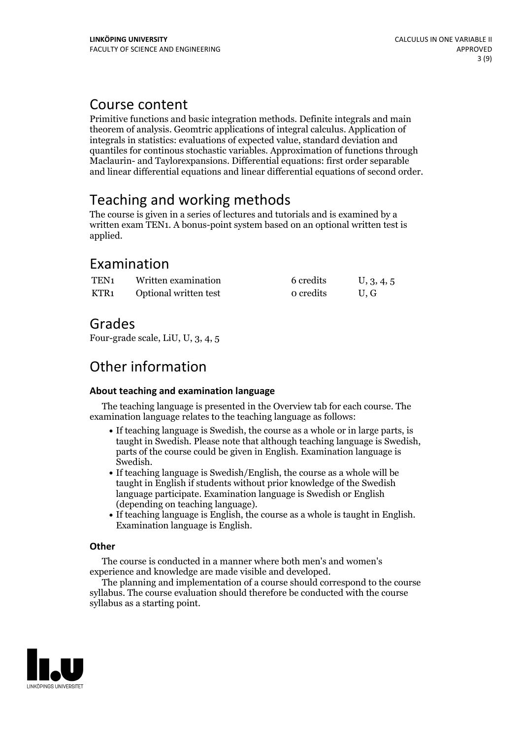### Course content

Primitive functions and basic integration methods. Definite integrals and main theorem of analysis. Geomtric applications of integral calculus. Application of integrals in statistics: evaluations of expected value, standard deviation and quantiles for continous stochastic variables. Approximation of functions through Maclaurin- and Taylorexpansions. Differential equations: first order separable and linear differential equations and linear differential equations of second order.

# Teaching and working methods

The course is given in a series of lectures and tutorials and is examined by a written exam TEN1. A bonus-point system based on an optional written test is applied.

### Examination

| TEN <sub>1</sub> | Written examination   | 6 credits | U, 3, 4, 5 |
|------------------|-----------------------|-----------|------------|
| KTR1             | Optional written test | o credits | U.G        |

### Grades

Four-grade scale, LiU, U, 3, 4, 5

# Other information

### **About teaching and examination language**

The teaching language is presented in the Overview tab for each course. The examination language relates to the teaching language as follows:

- If teaching language is Swedish, the course as a whole or in large parts, is taught in Swedish. Please note that although teaching language is Swedish, parts of the course could be given in English. Examination language is
- Swedish.<br>• If teaching language is Swedish/English, the course as a whole will be taught in English if students without prior knowledge of the Swedish language participate. Examination language is Swedish or English
- (depending on teaching language).<br>• If teaching language is English, the course as a whole is taught in English.<br>Examination language is English.

### **Other**

The course is conducted in a manner where both men's and women's

The planning and implementation of a course should correspond to the course syllabus. The course evaluation should therefore be conducted with the course syllabus as a starting point.

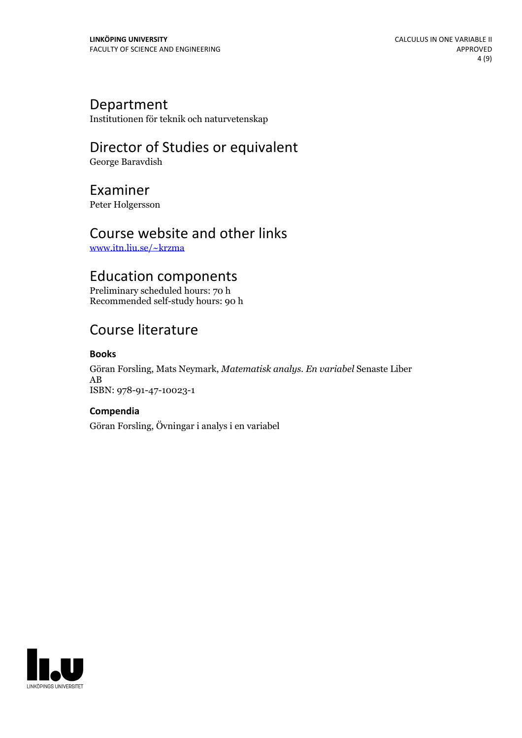### Department

Institutionen för teknik och naturvetenskap

# Director of Studies or equivalent

George Baravdish

### Examiner

Peter Holgersson

# Course website and other links

[www.itn.liu.se/~krzma](https://studieinfo.liu.se/www.itn.liu.se/~krzma)

# Education components

Preliminary scheduled hours: 70 h Recommended self-study hours: 90 h

# Course literature

### **Books**

Göran Forsling, Mats Neymark, *Matematisk analys. En variabel* Senaste Liber AB ISBN: 978-91-47-10023-1

### **Compendia**

Göran Forsling, Övningar i analys i en variabel

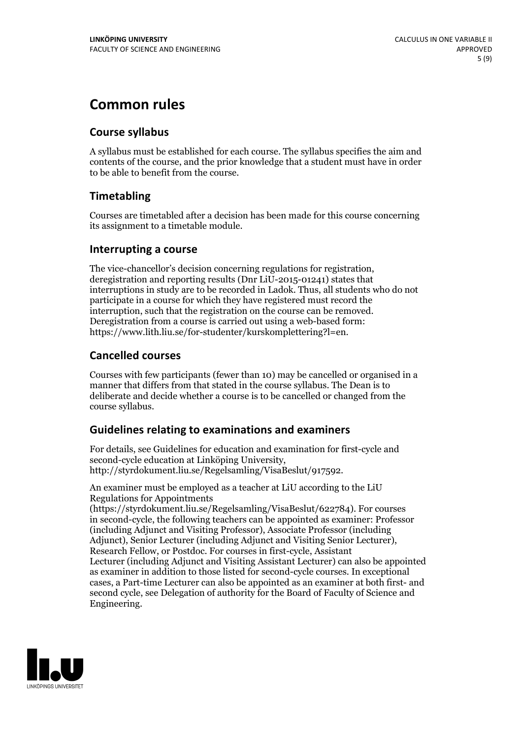# **Common rules**

### **Course syllabus**

A syllabus must be established for each course. The syllabus specifies the aim and contents of the course, and the prior knowledge that a student must have in order to be able to benefit from the course.

### **Timetabling**

Courses are timetabled after a decision has been made for this course concerning its assignment to a timetable module.

### **Interrupting a course**

The vice-chancellor's decision concerning regulations for registration, deregistration and reporting results (Dnr LiU-2015-01241) states that interruptions in study are to be recorded in Ladok. Thus, all students who do not participate in a course for which they have registered must record the interruption, such that the registration on the course can be removed. Deregistration from <sup>a</sup> course is carried outusing <sup>a</sup> web-based form: https://www.lith.liu.se/for-studenter/kurskomplettering?l=en.

### **Cancelled courses**

Courses with few participants (fewer than 10) may be cancelled or organised in a manner that differs from that stated in the course syllabus. The Dean is to deliberate and decide whether a course is to be cancelled or changed from the course syllabus.

### **Guidelines relatingto examinations and examiners**

For details, see Guidelines for education and examination for first-cycle and second-cycle education at Linköping University, http://styrdokument.liu.se/Regelsamling/VisaBeslut/917592.

An examiner must be employed as a teacher at LiU according to the LiU Regulations for Appointments

(https://styrdokument.liu.se/Regelsamling/VisaBeslut/622784). For courses in second-cycle, the following teachers can be appointed as examiner: Professor (including Adjunct and Visiting Professor), Associate Professor (including Adjunct), Senior Lecturer (including Adjunct and Visiting Senior Lecturer), Research Fellow, or Postdoc. For courses in first-cycle, Assistant Lecturer (including Adjunct and Visiting Assistant Lecturer) can also be appointed as examiner in addition to those listed for second-cycle courses. In exceptional cases, a Part-time Lecturer can also be appointed as an examiner at both first- and second cycle, see Delegation of authority for the Board of Faculty of Science and Engineering.

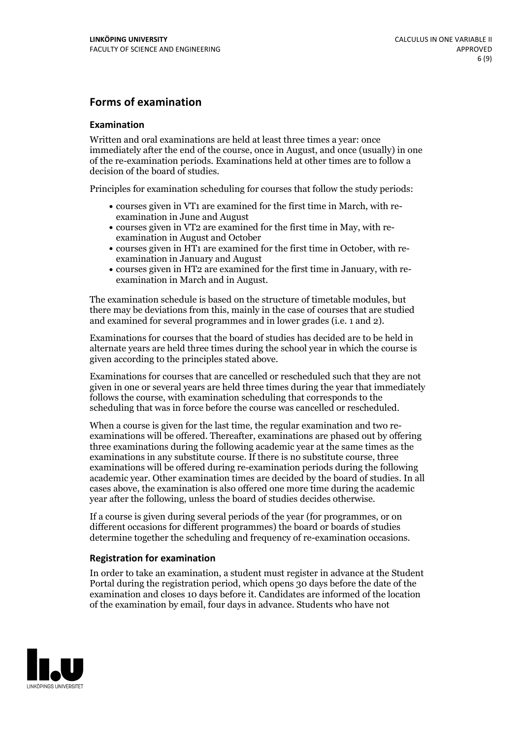### **Forms of examination**

#### **Examination**

Written and oral examinations are held at least three times a year: once immediately after the end of the course, once in August, and once (usually) in one of the re-examination periods. Examinations held at other times are to follow a decision of the board of studies.

Principles for examination scheduling for courses that follow the study periods:

- courses given in VT1 are examined for the first time in March, with re-examination in June and August
- courses given in VT2 are examined for the first time in May, with re-examination in August and October
- courses given in HT1 are examined for the first time in October, with re-examination in January and August
- courses given in HT2 are examined for the first time in January, with re-examination in March and in August.

The examination schedule is based on the structure of timetable modules, but there may be deviations from this, mainly in the case of courses that are studied and examined for several programmes and in lower grades (i.e. 1 and 2).

Examinations for courses that the board of studies has decided are to be held in alternate years are held three times during the school year in which the course is given according to the principles stated above.

Examinations for courses that are cancelled orrescheduled such that they are not given in one or several years are held three times during the year that immediately follows the course, with examination scheduling that corresponds to the scheduling that was in force before the course was cancelled or rescheduled.

When a course is given for the last time, the regular examination and two re-<br>examinations will be offered. Thereafter, examinations are phased out by offering three examinations during the following academic year at the same times as the examinations in any substitute course. If there is no substitute course, three examinations will be offered during re-examination periods during the following academic year. Other examination times are decided by the board of studies. In all cases above, the examination is also offered one more time during the academic year after the following, unless the board of studies decides otherwise.

If a course is given during several periods of the year (for programmes, or on different occasions for different programmes) the board or boards of studies determine together the scheduling and frequency of re-examination occasions.

#### **Registration for examination**

In order to take an examination, a student must register in advance at the Student Portal during the registration period, which opens 30 days before the date of the examination and closes 10 days before it. Candidates are informed of the location of the examination by email, four days in advance. Students who have not

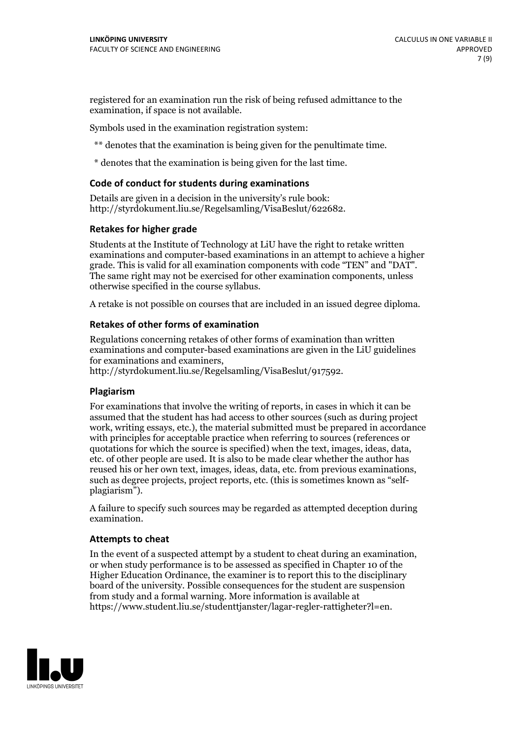registered for an examination run the risk of being refused admittance to the examination, if space is not available.

Symbols used in the examination registration system:

\*\* denotes that the examination is being given for the penultimate time.

\* denotes that the examination is being given for the last time.

#### **Code of conduct for students during examinations**

Details are given in a decision in the university's rule book: http://styrdokument.liu.se/Regelsamling/VisaBeslut/622682.

#### **Retakes for higher grade**

Students at the Institute of Technology at LiU have the right to retake written examinations and computer-based examinations in an attempt to achieve a higher grade. This is valid for all examination components with code "TEN" and "DAT". The same right may not be exercised for other examination components, unless otherwise specified in the course syllabus.

A retake is not possible on courses that are included in an issued degree diploma.

#### **Retakes of other forms of examination**

Regulations concerning retakes of other forms of examination than written examinations and computer-based examinations are given in the LiU guidelines

http://styrdokument.liu.se/Regelsamling/VisaBeslut/917592.

#### **Plagiarism**

For examinations that involve the writing of reports, in cases in which it can be assumed that the student has had access to other sources (such as during project work, writing essays, etc.), the material submitted must be prepared in accordance with principles for acceptable practice when referring to sources (references or quotations for which the source is specified) when the text, images, ideas, data,  $\vec{e}$  etc. of other people are used. It is also to be made clear whether the author has reused his or her own text, images, ideas, data, etc. from previous examinations, such as degree projects, project reports, etc. (this is sometimes known as "self- plagiarism").

A failure to specify such sources may be regarded as attempted deception during examination.

#### **Attempts to cheat**

In the event of <sup>a</sup> suspected attempt by <sup>a</sup> student to cheat during an examination, or when study performance is to be assessed as specified in Chapter <sup>10</sup> of the Higher Education Ordinance, the examiner is to report this to the disciplinary board of the university. Possible consequences for the student are suspension from study and a formal warning. More information is available at https://www.student.liu.se/studenttjanster/lagar-regler-rattigheter?l=en.

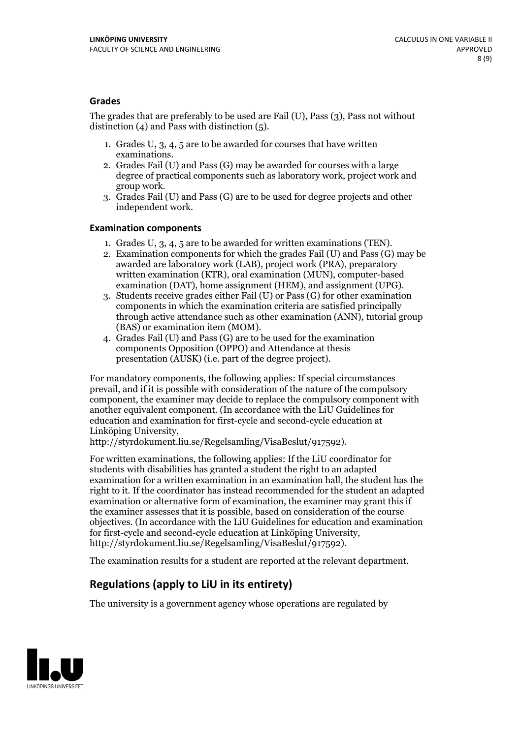#### **Grades**

The grades that are preferably to be used are Fail (U), Pass (3), Pass not without distinction  $(4)$  and Pass with distinction  $(5)$ .

- 1. Grades U, 3, 4, 5 are to be awarded for courses that have written
- examinations. 2. Grades Fail (U) and Pass (G) may be awarded for courses with <sup>a</sup> large degree of practical components such as laboratory work, project work and group work. 3. Grades Fail (U) and Pass (G) are to be used for degree projects and other
- independent work.

#### **Examination components**

- 
- 1. Grades U, 3, 4, <sup>5</sup> are to be awarded for written examinations (TEN). 2. Examination components for which the grades Fail (U) and Pass (G) may be awarded are laboratory work (LAB), project work (PRA), preparatory written examination (KTR), oral examination (MUN), computer-based
- examination (DAT), home assignment (HEM), and assignment (UPG). 3. Students receive grades either Fail (U) or Pass (G) for other examination components in which the examination criteria are satisfied principally through active attendance such as other examination (ANN), tutorial group
- (BAS) or examination item (MOM). 4. Grades Fail (U) and Pass (G) are to be used for the examination components Opposition (OPPO) and Attendance at thesis presentation (AUSK) (i.e. part of the degree project).

For mandatory components, the following applies: If special circumstances prevail, and if it is possible with consideration of the nature of the compulsory component, the examiner may decide to replace the compulsory component with another equivalent component. (In accordance with the LiU Guidelines for education and examination for first-cycle and second-cycle education at Linköping University, http://styrdokument.liu.se/Regelsamling/VisaBeslut/917592).

For written examinations, the following applies: If the LiU coordinator for students with disabilities has granted a student the right to an adapted examination for a written examination in an examination hall, the student has the right to it. If the coordinator has instead recommended for the student an adapted examination or alternative form of examination, the examiner may grant this if the examiner assesses that it is possible, based on consideration of the course objectives. (In accordance with the LiU Guidelines for education and examination for first-cycle and second-cycle education at Linköping University, http://styrdokument.liu.se/Regelsamling/VisaBeslut/917592).

The examination results for a student are reported at the relevant department.

### **Regulations (applyto LiU in its entirety)**

The university is a government agency whose operations are regulated by